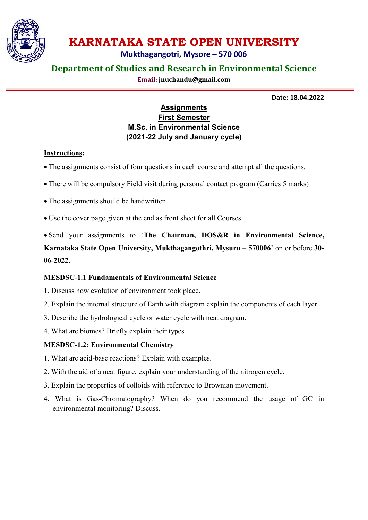

# KARNATAKA STATE OPEN UNIVERSITY

Mukthagangotri, Mysore – 570 006

## Department of Studies and Research in Environmental Science

Email: jnuchandu@gmail.com

Date: 18.04.2022

## **Assignments** First Semester M.Sc. in Environmental Science (2021-22 July and January cycle)

## Instructions:

- The assignments consist of four questions in each course and attempt all the questions.
- There will be compulsory Field visit during personal contact program (Carries 5 marks)
- The assignments should be handwritten
- Use the cover page given at the end as front sheet for all Courses.

 Send your assignments to 'The Chairman, DOS&R in Environmental Science, Karnataka State Open University, Mukthagangothri, Mysuru – 570006' on or before 30- 06-2022.

## MESDSC-1.1 Fundamentals of Environmental Science

- 1. Discuss how evolution of environment took place.
- 2. Explain the internal structure of Earth with diagram explain the components of each layer.
- 3. Describe the hydrological cycle or water cycle with neat diagram.
- 4. What are biomes? Briefly explain their types.

## MESDSC-1.2: Environmental Chemistry

- 1. What are acid-base reactions? Explain with examples.
- 2. With the aid of a neat figure, explain your understanding of the nitrogen cycle.
- 3. Explain the properties of colloids with reference to Brownian movement.
- 4. What is Gas-Chromatography? When do you recommend the usage of GC in environmental monitoring? Discuss.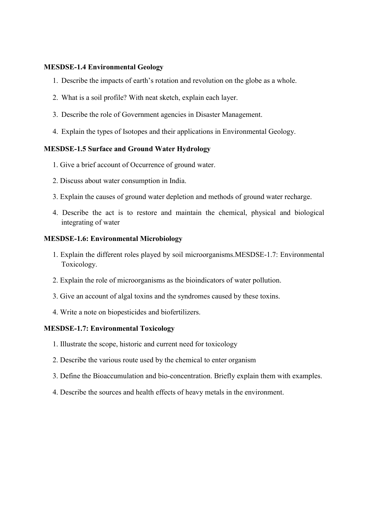#### MESDSE-1.4 Environmental Geology

- 1. Describe the impacts of earth's rotation and revolution on the globe as a whole.
- 2. What is a soil profile? With neat sketch, explain each layer.
- 3. Describe the role of Government agencies in Disaster Management.
- 4. Explain the types of Isotopes and their applications in Environmental Geology.

### MESDSE-1.5 Surface and Ground Water Hydrology

- 1. Give a brief account of Occurrence of ground water.
- 2. Discuss about water consumption in India.
- 3. Explain the causes of ground water depletion and methods of ground water recharge.
- 4. Describe the act is to restore and maintain the chemical, physical and biological integrating of water

#### MESDSE-1.6: Environmental Microbiology

- 1. Explain the different roles played by soil microorganisms.MESDSE-1.7: Environmental Toxicology.
- 2. Explain the role of microorganisms as the bioindicators of water pollution.
- 3. Give an account of algal toxins and the syndromes caused by these toxins.
- 4. Write a note on biopesticides and biofertilizers.

#### MESDSE-1.7: Environmental Toxicology

- 1. Illustrate the scope, historic and current need for toxicology
- 2. Describe the various route used by the chemical to enter organism
- 3. Define the Bioaccumulation and bio-concentration. Briefly explain them with examples.
- 4. Describe the sources and health effects of heavy metals in the environment.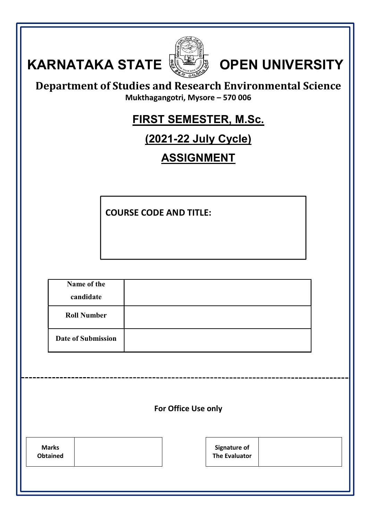| <b>KARNATAKA STATE</b><br><b>OPEN UNIVERSITY</b><br><b>Department of Studies and Research Environmental Science</b><br>Mukthagangotri, Mysore - 570 006<br><b>FIRST SEMESTER, M.Sc.</b><br><u>(2021-22 July Cycle)</u><br><b>ASSIGNMENT</b> |                                             |  |  |
|---------------------------------------------------------------------------------------------------------------------------------------------------------------------------------------------------------------------------------------------|---------------------------------------------|--|--|
|                                                                                                                                                                                                                                             | <b>COURSE CODE AND TITLE:</b>               |  |  |
| Name of the<br>candidate                                                                                                                                                                                                                    |                                             |  |  |
| <b>Roll Number</b>                                                                                                                                                                                                                          |                                             |  |  |
| <b>Date of Submission</b>                                                                                                                                                                                                                   |                                             |  |  |
| For Office Use only                                                                                                                                                                                                                         |                                             |  |  |
| <b>Marks</b><br><b>Obtained</b>                                                                                                                                                                                                             | <b>Signature of</b><br><b>The Evaluator</b> |  |  |